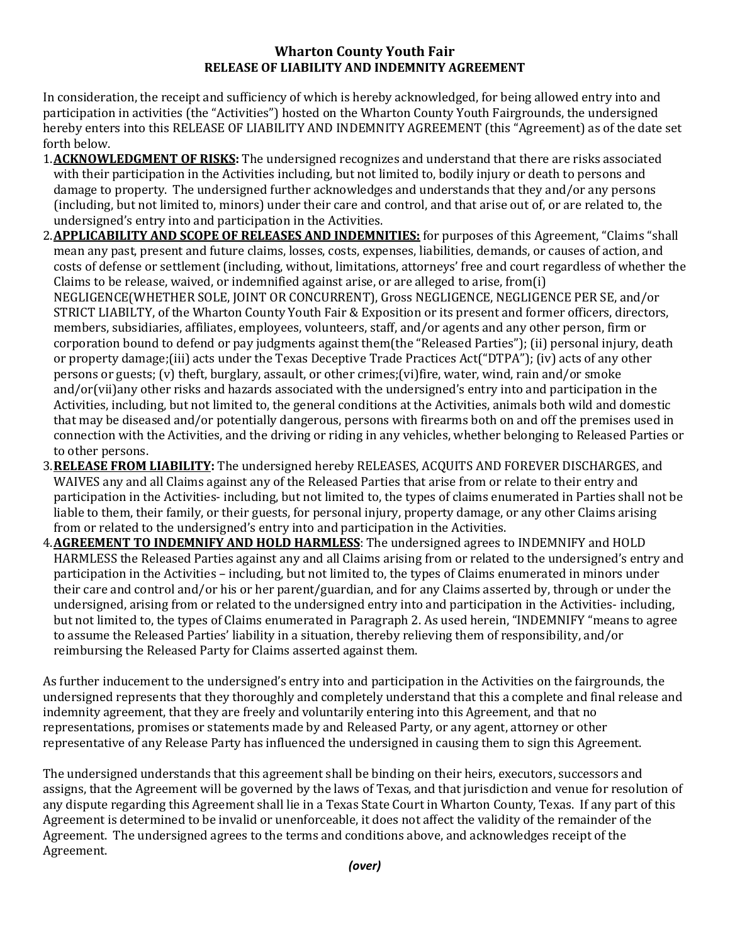## **Wharton County Youth Fair RELEASE OF LIABILITY AND INDEMNITY AGREEMENT**

In consideration, the receipt and sufficiency of which is hereby acknowledged, for being allowed entry into and participation in activities (the "Activities") hosted on the Wharton County Youth Fairgrounds, the undersigned hereby enters into this RELEASE OF LIABILITY AND INDEMNITY AGREEMENT (this "Agreement) as of the date set forth below.

- 1.**ACKNOWLEDGMENT OF RISKS:** The undersigned recognizes and understand that there are risks associated with their participation in the Activities including, but not limited to, bodily injury or death to persons and damage to property. The undersigned further acknowledges and understands that they and/or any persons (including, but not limited to, minors) under their care and control, and that arise out of, or are related to, the undersigned's entry into and participation in the Activities.
- 2.**APPLICABILITY AND SCOPE OF RELEASES AND INDEMNITIES:** for purposes of this Agreement, "Claims "shall mean any past, present and future claims, losses, costs, expenses, liabilities, demands, or causes of action, and costs of defense or settlement (including, without, limitations, attorneys' free and court regardless of whether the Claims to be release, waived, or indemnified against arise, or are alleged to arise, from(i) NEGLIGENCE(WHETHER SOLE, JOINT OR CONCURRENT), Gross NEGLIGENCE, NEGLIGENCE PER SE, and/or STRICT LIABILTY, of the Wharton County Youth Fair & Exposition or its present and former officers, directors, members, subsidiaries, affiliates, employees, volunteers, staff, and/or agents and any other person, firm or corporation bound to defend or pay judgments against them(the "Released Parties"); (ii) personal injury, death or property damage;(iii) acts under the Texas Deceptive Trade Practices Act("DTPA"); (iv) acts of any other persons or guests; (v) theft, burglary, assault, or other crimes;(vi)fire, water, wind, rain and/or smoke and/or(vii)any other risks and hazards associated with the undersigned's entry into and participation in the Activities, including, but not limited to, the general conditions at the Activities, animals both wild and domestic that may be diseased and/or potentially dangerous, persons with firearms both on and off the premises used in connection with the Activities, and the driving or riding in any vehicles, whether belonging to Released Parties or to other persons.
- 3.**RELEASE FROM LIABILITY:** The undersigned hereby RELEASES, ACQUITS AND FOREVER DISCHARGES, and WAIVES any and all Claims against any of the Released Parties that arise from or relate to their entry and participation in the Activities- including, but not limited to, the types of claims enumerated in Parties shall not be liable to them, their family, or their guests, for personal injury, property damage, or any other Claims arising from or related to the undersigned's entry into and participation in the Activities.
- 4.**AGREEMENT TO INDEMNIFY AND HOLD HARMLESS**: The undersigned agrees to INDEMNIFY and HOLD HARMLESS the Released Parties against any and all Claims arising from or related to the undersigned's entry and participation in the Activities – including, but not limited to, the types of Claims enumerated in minors under their care and control and/or his or her parent/guardian, and for any Claims asserted by, through or under the undersigned, arising from or related to the undersigned entry into and participation in the Activities- including, but not limited to, the types of Claims enumerated in Paragraph 2. As used herein, "INDEMNIFY "means to agree to assume the Released Parties' liability in a situation, thereby relieving them of responsibility, and/or reimbursing the Released Party for Claims asserted against them.

As further inducement to the undersigned's entry into and participation in the Activities on the fairgrounds, the undersigned represents that they thoroughly and completely understand that this a complete and final release and indemnity agreement, that they are freely and voluntarily entering into this Agreement, and that no representations, promises or statements made by and Released Party, or any agent, attorney or other representative of any Release Party has influenced the undersigned in causing them to sign this Agreement.

The undersigned understands that this agreement shall be binding on their heirs, executors, successors and assigns, that the Agreement will be governed by the laws of Texas, and that jurisdiction and venue for resolution of any dispute regarding this Agreement shall lie in a Texas State Court in Wharton County, Texas. If any part of this Agreement is determined to be invalid or unenforceable, it does not affect the validity of the remainder of the Agreement. The undersigned agrees to the terms and conditions above, and acknowledges receipt of the Agreement.